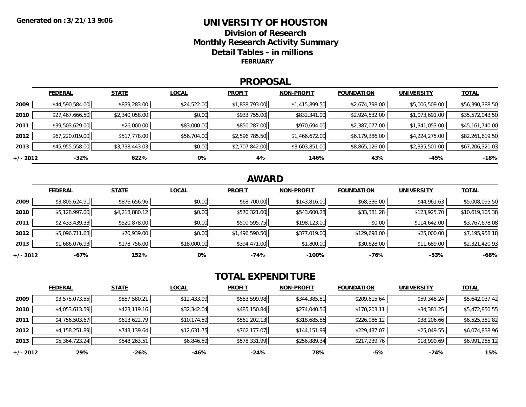### **UNIVERSITY OF HOUSTONDivision of ResearchMonthly Research Activity Summary Detail Tables - in millions FEBRUARY**

### **PROPOSAL**

|            | <b>FEDERAL</b>  | <b>STATE</b>   | <b>LOCAL</b> | <b>PROFIT</b>  | <b>NON-PROFIT</b> | <b>FOUNDATION</b> | UNIVERSITY     | <u>TOTAL</u>    |
|------------|-----------------|----------------|--------------|----------------|-------------------|-------------------|----------------|-----------------|
| 2009       | \$44,590,584.00 | \$839,283.00   | \$24,522.00  | \$1,838,793.00 | \$1,415,899.50    | \$2,674,798.00    | \$5,006,509.00 | \$56,390,388.50 |
| 2010       | \$27,467,666.50 | \$2,340,058.00 | \$0.00       | \$933,755.00   | \$832,341.00      | \$2,924,532.00    | \$1,073,691.00 | \$35,572,043.50 |
| 2011       | \$39,503,629.00 | \$26,000.00    | \$83,000.00  | \$850,287.00   | \$970,694.00      | \$2,387,077.00    | \$1,341,053.00 | \$45,161,740.00 |
| 2012       | \$67,220,019.00 | \$517,778.00   | \$56,704.00  | \$2,596,785.50 | \$1,466,672.00    | \$6,179,386.00    | \$4,224,275.00 | \$82,261,619.50 |
| 2013       | \$45,955,558.00 | \$3,738,443.03 | \$0.00       | \$2,707,842.00 | \$3,603,851.00    | \$8,865,126.00    | \$2,335,501.00 | \$67,206,321.03 |
| $+/- 2012$ | $-32%$          | 622%           | 0%           | 4%             | 146%              | 43%               | $-45%$         | $-18%$          |

## **AWARD**

|          | <b>FEDERAL</b> | <b>STATE</b>   | <b>LOCAL</b> | <b>PROFIT</b>  | <b>NON-PROFIT</b> | <b>FOUNDATION</b> | <b>UNIVERSITY</b> | <b>TOTAL</b>    |
|----------|----------------|----------------|--------------|----------------|-------------------|-------------------|-------------------|-----------------|
| 2009     | \$3,805,624.91 | \$876,656.96   | \$0.00       | \$68,700.00    | \$143,816.00      | \$68,336.00       | \$44,961.63       | \$5,008,095.50  |
| 2010     | \$5,128,997.00 | \$4,218,880.12 | \$0.00       | \$570,321.00   | \$543,600.28      | \$33,381.28       | \$123,925.70      | \$10,619,105.38 |
| 2011     | \$2,433,439.33 | \$520,878.00   | \$0.00       | \$500,595.75   | \$198,123.00      | \$0.00            | \$114,642.00      | \$3,767,678.08  |
| 2012     | \$5,096,711.68 | \$70,939.00    | \$0.00       | \$1,496,590.50 | \$377,019.00      | \$129,698.00      | \$25,000.00       | \$7,195,958.18  |
| 2013     | \$1,686,076.93 | \$178,756.00   | \$18,000.00  | \$394,471.00   | \$1,800.00        | \$30,628.00       | \$11,689.00       | \$2,321,420.93  |
| +/- 2012 | -67%           | 152%           | 0%           | -74%           | $-100%$           | $-76%$            | -53%              | $-68%$          |

# **TOTAL EXPENDITURE**

|          | <b>FEDERAL</b> | <b>STATE</b> | <b>LOCAL</b> | <b>PROFIT</b> | <b>NON-PROFIT</b> | <b>FOUNDATION</b> | <b>UNIVERSITY</b> | <b>TOTAL</b>   |
|----------|----------------|--------------|--------------|---------------|-------------------|-------------------|-------------------|----------------|
| 2009     | \$3,575,073.55 | \$857,580.21 | \$12,433.99  | \$583,599.98  | \$344,385.81      | \$209,615.64      | \$59,348.24       | \$5,642,037.42 |
| 2010     | \$4,053,613.59 | \$423,119.16 | \$32,342.04  | \$485,150.84  | \$274,040.56      | \$170,203.11      | \$34,381.25       | \$5,472,850.55 |
| 2011     | \$4,756,503.67 | \$613,622.79 | \$10,174.59  | \$561,202.13  | \$318,685.86      | \$226,986.12      | \$38,206.66       | \$6,525,381.82 |
| 2012     | \$4,158,251.89 | \$743,139.64 | \$12,631.75  | \$762,177.07  | \$144,151.99      | \$229,437.07      | \$25,049.55       | \$6,074,838.96 |
| 2013     | \$5,364,723.24 | \$548,263.51 | \$6,846.59   | \$578,331.99  | \$256,889.34      | \$217,239.76      | \$18,990.69       | \$6,991,285.12 |
| +/- 2012 | 29%            | -26%         | -46%         | -24%          | 78%               | $-5%$             | $-24%$            | 15%            |